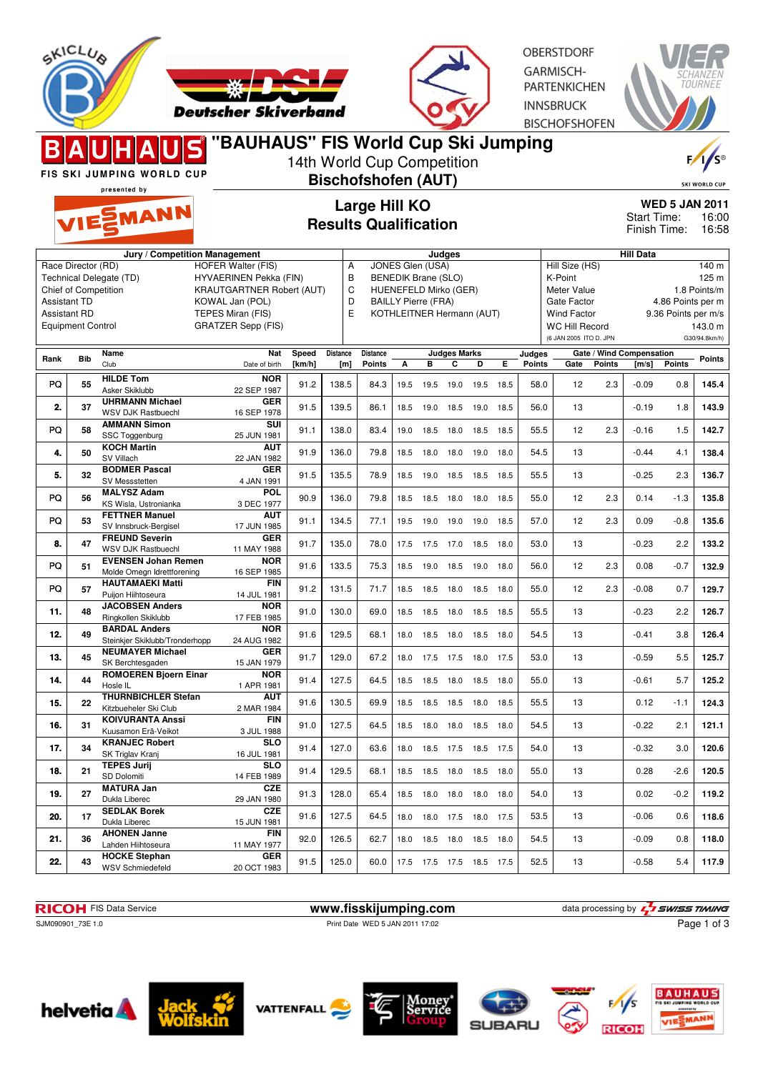



**OBERSTDORF GARMISCH-PARTENKICHEN INNSBRUCK BISCHOFSHOFEN** 

**"BAUHAUS" FIS World Cup Ski Jumping** 14th World Cup Competition FIS SKI JUMPING WORLD CUP **Bischofshofen (AUT)** SKI WORLD CUP presented by **Large Hill KO WED 5 JAN 2011** MANN Start Time: 16:00 **Results Qualification** Finish Time: 16:58 **Jury / Competition Management Judges Hill Data** Hill Size (HS) 140 m Race Director (RD) HOFER Walter (FIS) A JONES Glen (USA) Technical Delegate (TD) HYVAERINEN Pekka (FIN)<br>Chief of Competition HKRAUTGARTNER Robert B BENEDIK Brane (SLO) K-Point 125 m<br>Meter Value 1.8 Points/m KRAUTGARTNER Robert (AUT) C HUENEFELD Mirko (GER) 1.8 Points/m Assistant TD KOWAL Jan (POL) D BAILLY Pierre (FRA) Gate Factor 4.86 Points per m Assistant RD TEPES Miran (FIS)<br>Equipment Control GRATZER Sepp (F E KOTHLEITNER Hermann (AUT) Wind Factor 9.36 Points per m/s<br>WC Hill Record 143.0 m GRATZER Sepp (FIS) WC Hill Record (6 JAN 2005 ITO D. JPN G30/94.8km/h) **Rank Bib Name Nat Distance Judges Marks Judges Speed Distance Gate / Wind Compensation Gate Points [m/s] Points Points** Club Date of birth **Points [km/h] [m] Points A B C D E <sup>55</sup> HILDE Tom NOR**<br>22 SEP 1987 PQ 55 THE POINT 1999 PO 1999 PO 1999 PO 1999 PO 12 2.3 19.0 12 2.3 19.0 145.4<br>Asker Skiklubb 1999 22 SEP 1987 PO 138.5 84.3 19.5 19.5 19.0 19.5 18.5 58.0 12 2.3 -0.09 0.8 145.4 Asker Skiklubb **<sup>37</sup> UHRMANN Michael GER** 2. 37 WSV DJK Rastbuech 16 SEP 1978 <sup>91.5</sup> 139.5 86.1 18.5 19.0 18.5 19.0 18.5 56.0 13 -0.19 1.8 143.9 WSV DJK Rastbuechl **<sup>58</sup> AMMANN Simon SUI** SSC Toggenburg **<sup>50</sup> KOCH Martin AUT** 22 JAN 1982 **4.** 91.9 136.0 79.8 18.5 18.0 18.0 19.0 18.0 54.5 13 -0.44 4.1 **138.4** SV Villach

| 2.  | 37 | <b>UHRMANN Michael</b>         | <b>GER</b>              | 91.5 | 139.5 | 86.1 | 18.5 | 19.0                | 18.5 | 19.0 18.5           |      | 56.0 | 13 |     | $-0.19$ | 1.8    | 143.9 |
|-----|----|--------------------------------|-------------------------|------|-------|------|------|---------------------|------|---------------------|------|------|----|-----|---------|--------|-------|
|     |    | <b>WSV DJK Rastbuechl</b>      | 16 SEP 1978             |      |       |      |      |                     |      |                     |      |      |    |     |         |        |       |
| PQ  | 58 | <b>AMMANN Simon</b>            | $\overline{\text{SUI}}$ | 91.1 | 138.0 | 83.4 | 19.0 | 18.5                | 18.0 | 18.5 18.5           |      | 55.5 | 12 | 2.3 | $-0.16$ | 1.5    | 142.7 |
|     |    | SSC Toggenburg                 | 25 JUN 1981             |      |       |      |      |                     |      |                     |      |      |    |     |         |        |       |
| 4.  | 50 | <b>KOCH Martin</b>             | <b>AUT</b>              | 91.9 | 136.0 | 79.8 | 18.5 | 18.0                | 18.0 | 19.0                | 18.0 | 54.5 | 13 |     | $-0.44$ | 4.1    | 138.4 |
|     |    | SV Villach                     | 22 JAN 1982             |      |       |      |      |                     |      |                     |      |      |    |     |         |        |       |
| 5.  | 32 | <b>BODMER Pascal</b>           | <b>GER</b>              | 91.5 | 135.5 | 78.9 |      |                     |      |                     |      | 55.5 | 13 |     | $-0.25$ | 2.3    | 136.7 |
|     |    | SV Messstetten                 | 4 JAN 1991              |      |       |      | 18.5 | 19.0                |      | 18.5 18.5 18.5      |      |      |    |     |         |        |       |
| PQ  |    | <b>MALYSZ Adam</b>             | <b>POL</b>              | 90.9 | 136.0 | 79.8 |      |                     |      |                     |      | 55.0 | 12 | 2.3 | 0.14    | $-1.3$ | 135.8 |
|     | 56 | KS Wisla, Ustronianka          | 3 DEC 1977              |      |       |      | 18.5 | 18.5                | 18.0 | 18.0                | 18.5 |      |    |     |         |        |       |
| PQ  | 53 | <b>FETTNER Manuel</b>          | <b>AUT</b>              | 91.1 | 134.5 | 77.1 |      | 19.0                |      |                     |      | 57.0 | 12 | 2.3 | 0.09    | $-0.8$ | 135.6 |
|     |    | SV Innsbruck-Bergisel          | 17 JUN 1985             |      |       |      | 19.5 |                     |      | 19.0 19.0 18.5      |      |      |    |     |         |        |       |
| 8.  | 47 | <b>FREUND Severin</b>          | <b>GER</b>              | 91.7 | 135.0 |      |      |                     |      |                     |      | 53.0 | 13 |     | $-0.23$ | 2.2    | 133.2 |
|     |    | <b>WSV DJK Rastbuechl</b>      | 11 MAY 1988             |      |       | 78.0 | 17.5 |                     |      | 17.5 17.0 18.5 18.0 |      |      |    |     |         |        |       |
| PQ  | 51 | <b>EVENSEN Johan Remen</b>     | <b>NOR</b>              | 91.6 | 133.5 | 75.3 | 18.5 | 19.0                | 18.5 | 19.0 18.0           |      | 56.0 | 12 | 2.3 | 0.08    | $-0.7$ | 132.9 |
|     |    | Molde Omegn Idrettforening     | 16 SEP 1985             |      |       |      |      |                     |      |                     |      |      |    |     |         |        |       |
| PQ  | 57 | <b>HAUTAMAEKI Matti</b>        | <b>FIN</b>              | 91.2 | 131.5 | 71.7 | 18.5 | 18.5                | 18.0 | 18.5 18.0           |      | 55.0 | 12 | 2.3 | $-0.08$ | 0.7    | 129.7 |
|     |    | Puijon Hiihtoseura             | 14 JUL 1981             |      |       |      |      |                     |      |                     |      |      |    |     |         |        |       |
| 11. | 48 | <b>JACOBSEN Anders</b>         | <b>NOR</b>              | 91.0 | 130.0 | 69.0 | 18.5 | 18.5                | 18.0 | 18.5 18.5           |      | 55.5 | 13 |     | $-0.23$ | 2.2    | 126.7 |
|     |    | Ringkollen Skiklubb            | 17 FEB 1985             |      |       |      |      |                     |      |                     |      |      |    |     |         |        |       |
| 12. | 49 | <b>BARDAL Anders</b>           | <b>NOR</b>              | 91.6 | 129.5 | 68.1 | 18.0 | 18.5                | 18.0 | 18.5 18.0           |      | 54.5 | 13 |     | $-0.41$ | 3.8    | 126.4 |
|     |    | Steinkjer Skiklubb/Tronderhopp | 24 AUG 1982             |      |       |      |      |                     |      |                     |      |      |    |     |         |        |       |
| 13. | 45 | <b>NEUMAYER Michael</b>        | <b>GER</b>              | 91.7 | 129.0 | 67.2 | 18.0 | 17.5                | 17.5 | 18.0 17.5           |      | 53.0 | 13 |     | $-0.59$ | 5.5    | 125.7 |
|     |    | SK Berchtesgaden               | 15 JAN 1979             |      |       |      |      |                     |      |                     |      |      |    |     |         |        |       |
| 14. | 44 | <b>ROMOEREN Bjoern Einar</b>   | <b>NOR</b>              | 91.4 | 127.5 | 64.5 | 18.5 | 18.5                | 18.0 | 18.5 18.0           |      | 55.0 | 13 |     | $-0.61$ | 5.7    | 125.2 |
|     |    | Hosle IL                       | 1 APR 1981              |      |       |      |      |                     |      |                     |      |      |    |     |         |        |       |
| 15. | 22 | <b>THURNBICHLER Stefan</b>     | <b>AUT</b>              | 91.6 | 130.5 | 69.9 | 18.5 | 18.5                | 18.5 | 18.0 18.5           |      | 55.5 | 13 |     | 0.12    | $-1.1$ | 124.3 |
|     |    | Kitzbueheler Ski Club          | 2 MAR 1984              |      |       |      |      |                     |      |                     |      |      |    |     |         |        |       |
| 16. | 31 | <b>KOIVURANTA Anssi</b>        | FIN                     | 91.0 | 127.5 | 64.5 | 18.5 | 18.0                |      | 18.0 18.5 18.0      |      | 54.5 | 13 |     | $-0.22$ | 2.1    | 121.1 |
|     |    | Kuusamon Erä-Veikot            | 3 JUL 1988              |      |       |      |      |                     |      |                     |      |      |    |     |         |        |       |
| 17. | 34 | <b>KRANJEC Robert</b>          | <b>SLO</b>              | 91.4 | 127.0 | 63.6 | 18.0 | 18.5                | 17.5 | 18.5 17.5           |      | 54.0 | 13 |     | $-0.32$ | 3.0    | 120.6 |
|     |    | SK Triglav Kranj               | 16 JUL 1981             |      |       |      |      |                     |      |                     |      |      |    |     |         |        |       |
| 18. | 21 | <b>TEPES Jurij</b>             | SLO                     | 91.4 | 129.5 | 68.1 | 18.5 |                     |      | 18.5 18.0 18.5 18.0 |      | 55.0 | 13 |     | 0.28    | $-2.6$ | 120.5 |
|     |    | SD Dolomiti                    | 14 FEB 1989             |      |       |      |      |                     |      |                     |      |      |    |     |         |        |       |
| 19. | 27 | <b>MATURA Jan</b>              | <b>CZE</b>              | 91.3 | 128.0 | 65.4 | 18.5 | 18.0                | 18.0 | 18.0                | 18.0 | 54.0 | 13 |     | 0.02    | $-0.2$ | 119.2 |
|     |    | Dukla Liberec                  | 29 JAN 1980             |      |       |      |      |                     |      |                     |      |      |    |     |         |        |       |
| 20. | 17 | <b>SEDLAK Borek</b>            | CZE                     | 91.6 | 127.5 | 64.5 | 18.0 | 18.0                | 17.5 | 18.0 17.5           |      | 53.5 | 13 |     | $-0.06$ | 0.6    | 118.6 |
|     |    | Dukla Liberec                  | 15 JUN 1981             |      |       |      |      |                     |      |                     |      |      |    |     |         |        |       |
| 21. | 36 | <b>AHONEN Janne</b>            | <b>FIN</b>              | 92.0 | 126.5 | 62.7 | 18.0 | 18.5                | 18.0 | 18.5 18.0           |      | 54.5 | 13 |     | $-0.09$ | 0.8    | 118.0 |
|     |    | Lahden Hiihtoseura             | 11 MAY 1977             |      |       |      |      |                     |      |                     |      |      |    |     |         |        |       |
| 22. | 43 | <b>HOCKE Stephan</b>           | <b>GER</b>              | 91.5 | 125.0 | 60.0 | 17.5 | 17.5 17.5 18.5 17.5 |      |                     |      | 52.5 | 13 |     | $-0.58$ | 5.4    | 117.9 |
|     |    | <b>WSV Schmiedefeld</b>        | 20 OCT 1983             |      |       |      |      |                     |      |                     |      |      |    |     |         |        |       |
|     |    |                                |                         |      |       |      |      |                     |      |                     |      |      |    |     |         |        |       |

**RICOH** FIS Data Service **www.fisskijumping.com** data processing by  $\frac{7}{2}$  **SWISS TIMING** 

SJM090901\_73E 1.0 Print Date WED 5 JAN 2011 17:02















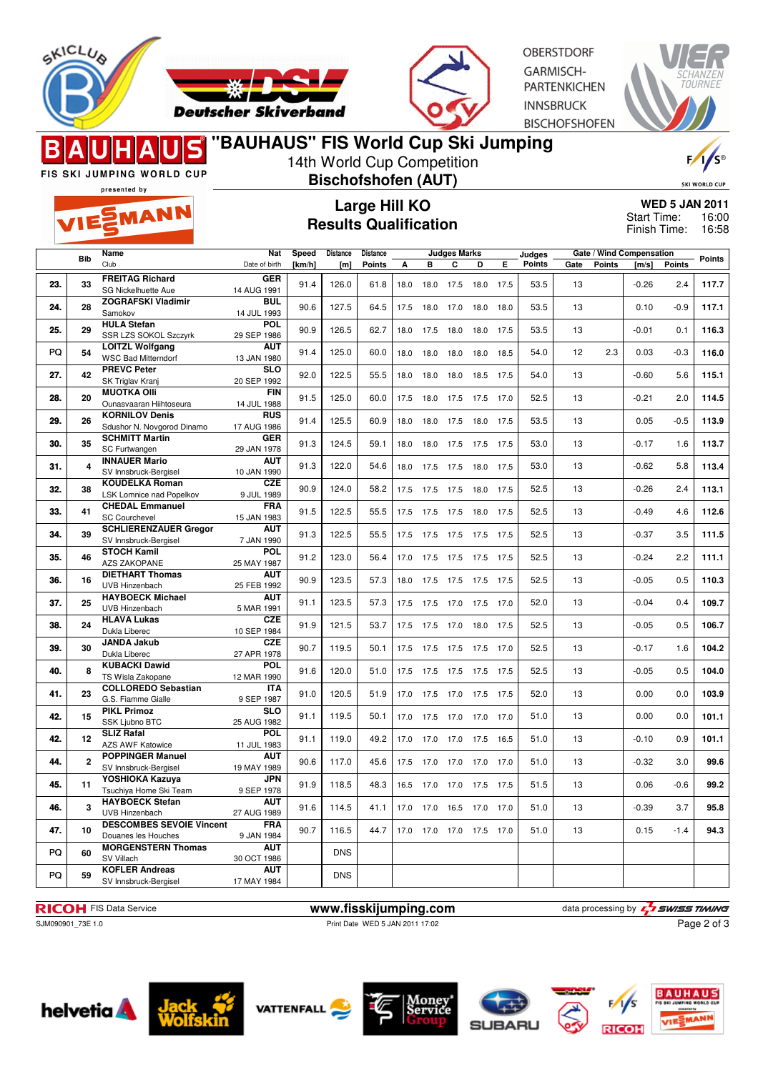



**OBERSTDORF** GARMISCH-**PARTENKICHEN INNSBRUCK BISCHOFSHOFEN** 



SKI WORLD CUP

FIS SKI JUMPING WORLD CUP

## **"BAUHAUS" FIS World Cup Ski Jumping**

14th World Cup Competition **Bischofshofen (AUT)**

presented by

EMANN

## **Large Hill KO Results Qualification**

**WED 5 JAN 2011** 16:00 Finish Time: 16:58 Start Time:

|     |                | <b>Name</b>                                          | <b>Nat</b>                | Speed  | <b>Distance</b> | <b>Distance</b> |      |           | <b>Judges Marks</b>      |           |      | Judges        |      | <b>Gate / Wind Compensation</b> |         |               |               |
|-----|----------------|------------------------------------------------------|---------------------------|--------|-----------------|-----------------|------|-----------|--------------------------|-----------|------|---------------|------|---------------------------------|---------|---------------|---------------|
|     | <b>Bib</b>     | Club                                                 | Date of birth             | [km/h] | [m]             | <b>Points</b>   | Α    | B         | C                        | D         | Е    | <b>Points</b> | Gate | <b>Points</b>                   | [m/s]   | <b>Points</b> | <b>Points</b> |
| 23. | 33             | <b>FREITAG Richard</b>                               | GER                       | 91.4   | 126.0           | 61.8            | 18.0 |           | 18.0 17.5                | 18.0      | 17.5 | 53.5          | 13   |                                 | $-0.26$ | 2.4           | 117.7         |
| 24. | 28             | SG Nickelhuette Aue<br><b>ZOGRAFSKI Vladimir</b>     | 14 AUG 1991<br><b>BUL</b> | 90.6   | 127.5           | 64.5            | 17.5 | 18.0      | 17.0                     | 18.0      | 18.0 | 53.5          | 13   |                                 | 0.10    | $-0.9$        | 117.1         |
|     |                | Samokov                                              | 14 JUL 1993               |        |                 |                 |      |           |                          |           |      |               |      |                                 |         |               |               |
| 25. | 29             | <b>HULA Stefan</b>                                   | <b>POL</b>                | 90.9   | 126.5           | 62.7            | 18.0 | 17.5      | 18.0                     | 18.0      | 17.5 | 53.5          | 13   |                                 | $-0.01$ | 0.1           | 116.3         |
|     |                | SSR LZS SOKOL Szczyrk                                | 29 SEP 1986               |        |                 |                 |      |           |                          |           |      |               |      |                                 |         |               |               |
| PQ  | 54             | <b>LOITZL Wolfgang</b><br><b>WSC Bad Mitterndorf</b> | <b>AUT</b><br>13 JAN 1980 | 91.4   | 125.0           | 60.0            | 18.0 | 18.0      | 18.0                     | 18.0      | 18.5 | 54.0          | 12   | 2.3                             | 0.03    | $-0.3$        | 116.0         |
| 27. | 42             | <b>PREVC Peter</b><br>SK Triglav Kranj               | <b>SLO</b><br>20 SEP 1992 | 92.0   | 122.5           | 55.5            | 18.0 | 18.0      | 18.0                     | 18.5      | 17.5 | 54.0          | 13   |                                 | $-0.60$ | 5.6           | 115.1         |
| 28. | 20             | <b>MUOTKA OIII</b><br>Ounasvaaran Hiihtoseura        | <b>FIN</b><br>14 JUL 1988 | 91.5   | 125.0           | 60.0            | 17.5 | 18.0      | 17.5 17.5 17.0           |           |      | 52.5          | 13   |                                 | $-0.21$ | 2.0           | 114.5         |
| 29. | 26             | <b>KORNILOV Denis</b>                                | <b>RUS</b>                | 91.4   | 125.5           | 60.9            | 18.0 | 18.0      | 17.5                     | 18.0      | 17.5 | 53.5          | 13   |                                 | 0.05    | $-0.5$        | 113.9         |
|     |                | Sdushor N. Novgorod Dinamo                           | 17 AUG 1986               |        |                 |                 |      |           |                          |           |      |               |      |                                 |         |               |               |
| 30. | 35             | <b>SCHMITT Martin</b>                                | <b>GER</b>                | 91.3   | 124.5           | 59.1            | 18.0 | 18.0      | 17.5                     | 17.5      | 17.5 | 53.0          | 13   |                                 | $-0.17$ | 1.6           | 113.7         |
|     |                | SC Furtwangen                                        | 29 JAN 1978               |        |                 |                 |      |           |                          |           |      |               |      |                                 |         |               |               |
| 31. | $\overline{4}$ | <b>INNAUER Mario</b><br>SV Innsbruck-Bergisel        | <b>AUT</b><br>10 JAN 1990 | 91.3   | 122.0           | 54.6            |      |           | 18.0 17.5 17.5 18.0 17.5 |           |      | 53.0          | 13   |                                 | $-0.62$ | 5.8           | 113.4         |
|     |                | <b>KOUDELKA Roman</b>                                | <b>CZE</b>                |        |                 |                 |      |           |                          |           |      |               |      |                                 |         |               |               |
| 32. | 38             | LSK Lomnice nad Popelkov                             | 9 JUL 1989                | 90.9   | 124.0           | 58.2            | 17.5 | 17.5      | 17.5                     | 18.0      | 17.5 | 52.5          | 13   |                                 | $-0.26$ | 2.4           | 113.1         |
|     |                | <b>CHEDAL Emmanuel</b>                               | <b>FRA</b>                |        |                 |                 |      |           |                          |           |      |               |      |                                 |         |               |               |
| 33. | 41             | <b>SC Courchevel</b>                                 | 15 JAN 1983               | 91.5   | 122.5           | 55.5            | 17.5 | 17.5      | 17.5                     | 18.0      | 17.5 | 52.5          | 13   |                                 | $-0.49$ | 4.6           | 112.6         |
|     |                | <b>SCHLIERENZAUER Gregor</b>                         | <b>AUT</b>                |        |                 |                 |      |           |                          |           |      |               |      |                                 |         |               |               |
| 34. | 39             | SV Innsbruck-Bergisel                                | 7 JAN 1990                | 91.3   | 122.5           | 55.5            |      | 17.5 17.5 | 17.5 17.5 17.5           |           |      | 52.5          | 13   |                                 | $-0.37$ | 3.5           | 111.5         |
| 35. | 46             | <b>STOCH Kamil</b>                                   | <b>POL</b>                | 91.2   | 123.0           | 56.4            | 17.0 | 17.5      | 17.5                     | 17.5      | 17.5 | 52.5          | 13   |                                 | $-0.24$ | 2.2           | 111.1         |
|     |                | <b>AZS ZAKOPANE</b>                                  | 25 MAY 1987               |        |                 |                 |      |           |                          |           |      |               |      |                                 |         |               |               |
| 36. | 16             | <b>DIETHART Thomas</b>                               | <b>AUT</b>                | 90.9   | 123.5           | 57.3            | 18.0 | 17.5      | 17.5 17.5 17.5           |           |      | 52.5          | 13   |                                 | $-0.05$ | 0.5           | 110.3         |
|     |                | UVB Hinzenbach                                       | 25 FEB 1992               |        |                 |                 |      |           |                          |           |      |               |      |                                 |         |               |               |
| 37. | 25             | <b>HAYBOECK Michael</b><br><b>UVB Hinzenbach</b>     | <b>AUT</b><br>5 MAR 1991  | 91.1   | 123.5           | 57.3            |      | 17.5 17.5 | 17.0 17.5 17.0           |           |      | 52.0          | 13   |                                 | $-0.04$ | 0.4           | 109.7         |
|     |                | <b>HLAVA Lukas</b>                                   | <b>CZE</b>                |        |                 |                 |      |           |                          |           |      |               |      |                                 |         |               |               |
| 38. | 24             | Dukla Liberec                                        | 10 SEP 1984               | 91.9   | 121.5           | 53.7            | 17.5 | 17.5      | 17.0                     | 18.0      | 17.5 | 52.5          | 13   |                                 | $-0.05$ | 0.5           | 106.7         |
|     |                | <b>JANDA Jakub</b>                                   | <b>CZE</b>                |        |                 |                 |      |           |                          |           |      |               |      |                                 |         |               |               |
| 39. | 30             | Dukla Liberec                                        | 27 APR 1978               | 90.7   | 119.5           | 50.1            |      |           | 17.5 17.5 17.5 17.5 17.0 |           |      | 52.5          | 13   |                                 | $-0.17$ | 1.6           | 104.2         |
|     |                | <b>KUBACKI Dawid</b>                                 | <b>POL</b>                |        |                 |                 |      |           |                          |           |      |               |      |                                 |         |               |               |
| 40. | 8              | TS Wisla Zakopane                                    | 12 MAR 1990               | 91.6   | 120.0           | 51.0            | 17.5 | 17.5      | 17.5                     | 17.5 17.5 |      | 52.5          | 13   |                                 | $-0.05$ | 0.5           | 104.0         |
| 41. | 23             | <b>COLLOREDO Sebastian</b>                           | <b>ITA</b>                | 91.0   | 120.5           | 51.9            | 17.0 | 17.5      | 17.0                     | 17.5      | 17.5 | 52.0          | 13   |                                 | 0.00    | 0.0           | 103.9         |
|     |                | G.S. Fiamme Gialle                                   | 9 SEP 1987                |        |                 |                 |      |           |                          |           |      |               |      |                                 |         |               |               |
| 42. | 15             | <b>PIKL Primoz</b><br>SSK Ljubno BTC                 | <b>SLO</b><br>25 AUG 1982 | 91.1   | 119.5           | 50.1            | 17.0 | 17.5      | 17.0 17.0                |           | 17.0 | 51.0          | 13   |                                 | 0.00    | 0.0           | 101.1         |
|     |                | <b>SLIZ Rafal</b>                                    | <b>POL</b>                |        |                 |                 |      |           |                          |           |      |               |      |                                 |         |               |               |
| 42. | 12             | AZS AWF Katowice                                     | 11 JUL 1983               | 91.1   | 119.0           | 49.2            | 17.0 | 17.0      | 17.0                     | 17.5      | 16.5 | 51.0          | 13   |                                 | $-0.10$ | 0.9           | 101.1         |
|     |                | <b>POPPINGER Manuel</b>                              | <b>AUT</b>                |        |                 |                 |      |           |                          |           |      |               |      |                                 |         |               |               |
| 44. | $\overline{2}$ | SV Innsbruck-Bergisel                                | 19 MAY 1989               | 90.6   | 117.0           | 45.6            | 17.5 | 17.0      | 17.0 17.0 17.0           |           |      | 51.0          | 13   |                                 | $-0.32$ | 3.0           | 99.6          |
|     |                | YOSHIOKA Kazuya                                      | JPN                       |        |                 |                 |      |           |                          |           |      |               |      |                                 |         |               |               |
| 45. | 11             | Tsuchiya Home Ski Team                               | 9 SEP 1978                | 91.9   | 118.5           | 48.3            | 16.5 | 17.0      | 17.0 17.5 17.5           |           |      | 51.5          | 13   |                                 | 0.06    | $-0.6$        | 99.2          |
|     | 3              | <b>HAYBOECK Stefan</b>                               | <b>AUT</b>                | 91.6   | 114.5           | 41.1            | 17.0 | 17.0      | 16.5                     | 17.0      | 17.0 | 51.0          | 13   |                                 | $-0.39$ | 3.7           | 95.8          |
| 46. |                | <b>UVB Hinzenbach</b>                                | 27 AUG 1989               |        |                 |                 |      |           |                          |           |      |               |      |                                 |         |               |               |
| 47. | 10             | <b>DESCOMBES SEVOIE Vincent</b>                      | <b>FRA</b>                | 90.7   | 116.5           | 44.7            |      |           | 17.0 17.0 17.0 17.5 17.0 |           |      | 51.0          | 13   |                                 | 0.15    | $-1.4$        | 94.3          |
|     |                | Douanes les Houches                                  | 9 JAN 1984                |        |                 |                 |      |           |                          |           |      |               |      |                                 |         |               |               |
| PQ  | 60             | <b>MORGENSTERN Thomas</b>                            | <b>AUT</b>                |        | <b>DNS</b>      |                 |      |           |                          |           |      |               |      |                                 |         |               |               |
|     |                | SV Villach                                           | 30 OCT 1986               |        |                 |                 |      |           |                          |           |      |               |      |                                 |         |               |               |
| PQ  | 59             | <b>KOFLER Andreas</b>                                | <b>AUT</b>                |        | <b>DNS</b>      |                 |      |           |                          |           |      |               |      |                                 |         |               |               |
|     |                | SV Innsbruck-Bergisel                                | 17 MAY 1984               |        |                 |                 |      |           |                          |           |      |               |      |                                 |         |               |               |

**RICOH** FIS Data Service **www.fisskijumping.com** data processing by  $\frac{7}{2}$  **swiss TIMING** 

Page 2 of 3

SJM090901\_73E 1.0 Print Date WED 5 JAN 2011 17:02

**BAUHAUS**